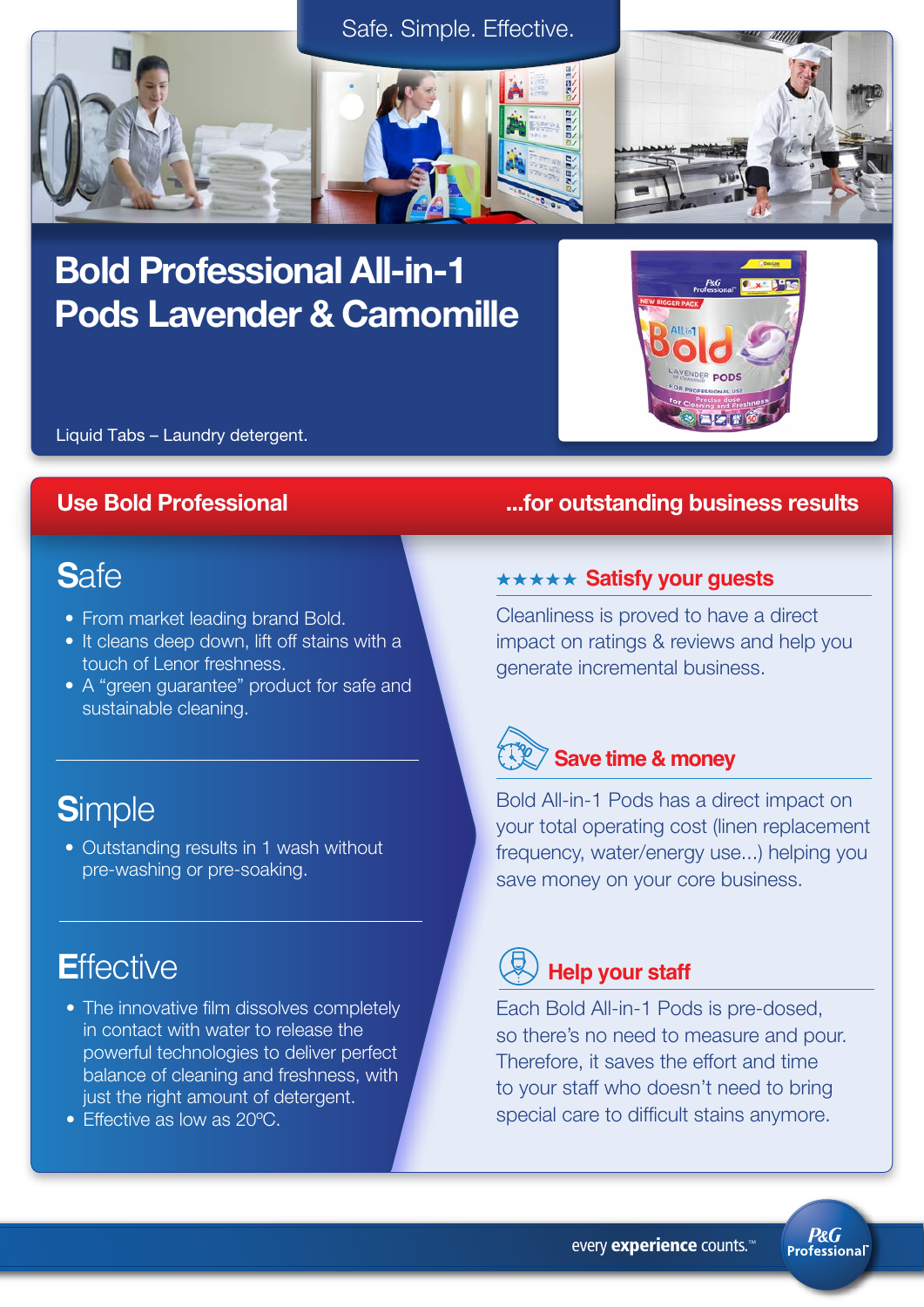

# Bold Professional All-in-1 Pods Lavender & Camomille



Liquid Tabs – Laundry detergent.

## **S**afe

- From market leading brand Bold.
- It cleans deep down, lift off stains with a touch of Lenor freshness.
- A "green guarantee" product for safe and sustainable cleaning.

# **S**imple

• Outstanding results in 1 wash without pre-washing or pre-soaking.

## **E**ffective

- The innovative film dissolves completely in contact with water to release the powerful technologies to deliver perfect balance of cleaning and freshness, with just the right amount of detergent.
- Effective as low as 20°C.

## Use Bold Professional **Use Bold Professional**  $\ldots$  for outstanding business results

### **\*\*\*\*\* Satisfy your guests**

Cleanliness is proved to have a direct impact on ratings & reviews and help you generate incremental business.



Bold All-in-1 Pods has a direct impact on your total operating cost (linen replacement frequency, water/energy use...) helping you save money on your core business.

## **Help your staff**

Each Bold All-in-1 Pods is pre-dosed, so there's no need to measure and pour. Therefore, it saves the effort and time to your staff who doesn't need to bring special care to difficult stains anymore.